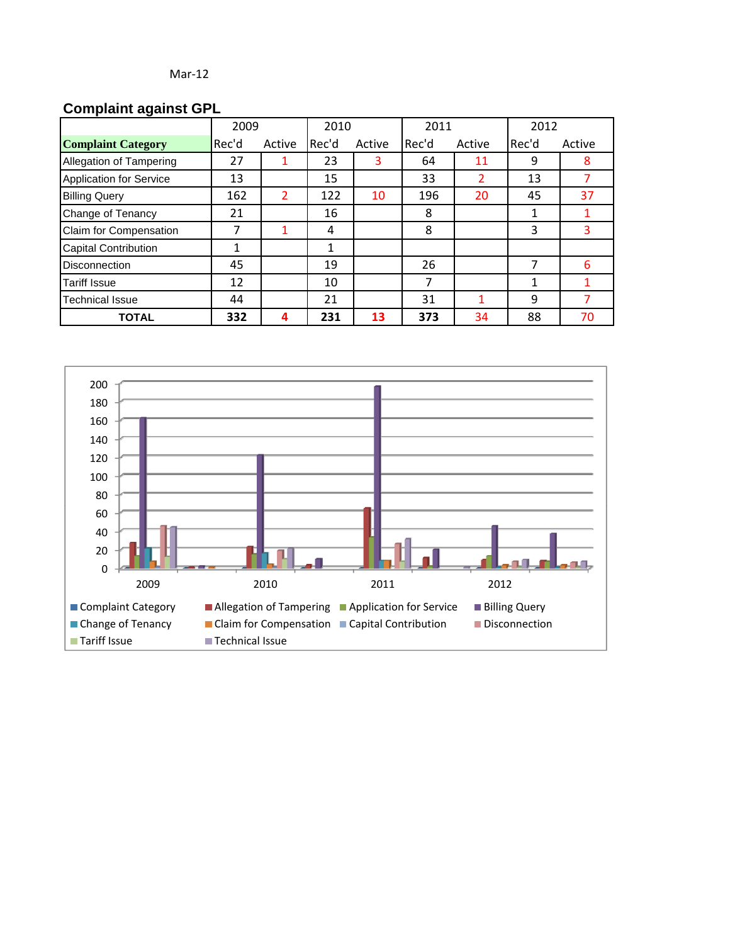### **Complaint against GPL**

|                                | 2009  |                | 2010  |        | 2011  |        | 2012  |        |
|--------------------------------|-------|----------------|-------|--------|-------|--------|-------|--------|
| <b>Complaint Category</b>      | Rec'd | Active         | Rec'd | Active | Rec'd | Active | Rec'd | Active |
| Allegation of Tampering        | 27    |                | 23    | 3      | 64    | 11     | 9     | 8      |
| <b>Application for Service</b> | 13    |                | 15    |        | 33    | 2      | 13    |        |
| <b>Billing Query</b>           | 162   | $\overline{2}$ | 122   | 10     | 196   | 20     | 45    | 37     |
| Change of Tenancy              | 21    |                | 16    |        | 8     |        | 1     |        |
| Claim for Compensation         | 7     |                | 4     |        | 8     |        | 3     | 3      |
| <b>Capital Contribution</b>    | 1     |                | 1     |        |       |        |       |        |
| <b>Disconnection</b>           | 45    |                | 19    |        | 26    |        | 7     | 6      |
| <b>Tariff Issue</b>            | 12    |                | 10    |        | 7     |        | 1     |        |
| <b>Technical Issue</b>         | 44    |                | 21    |        | 31    | 1      | 9     |        |
| <b>TOTAL</b>                   | 332   | 4              | 231   | 13     | 373   | 34     | 88    | 70     |

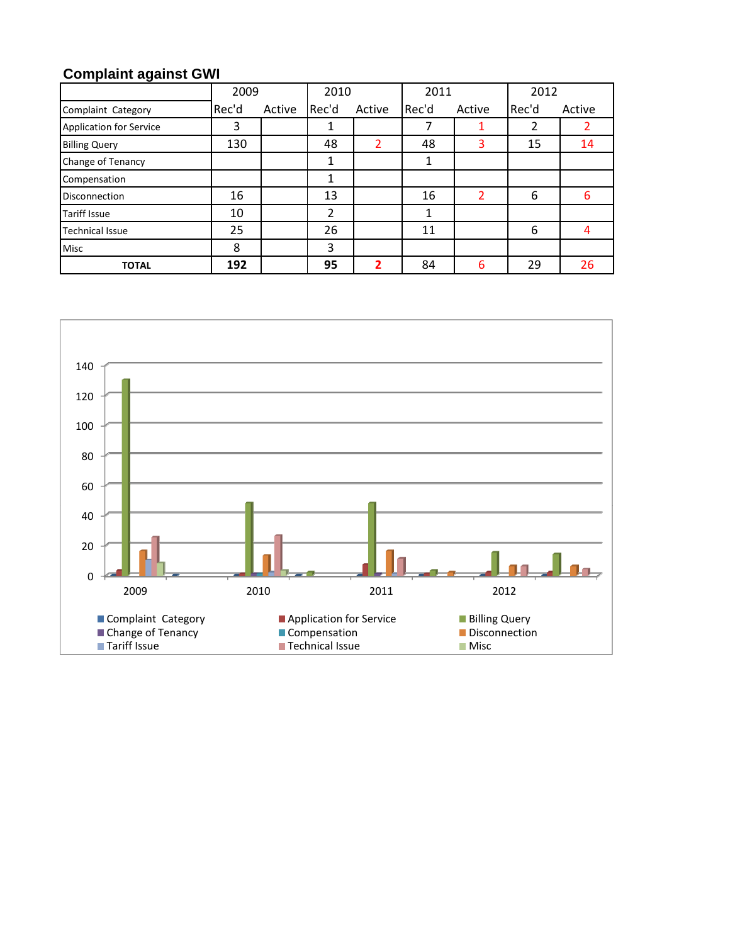## **Complaint against GWI**

|                         | 2009  |        | 2010  |        |       | 2011   |       | 2012   |
|-------------------------|-------|--------|-------|--------|-------|--------|-------|--------|
| Complaint Category      | Rec'd | Active | Rec'd | Active | Rec'd | Active | Rec'd | Active |
| Application for Service | 3     |        |       |        |       |        | 2     |        |
| <b>Billing Query</b>    | 130   |        | 48    |        | 48    | 3      | 15    | 14     |
| Change of Tenancy       |       |        |       |        |       |        |       |        |
| Compensation            |       |        | 1     |        |       |        |       |        |
| <b>Disconnection</b>    | 16    |        | 13    |        | 16    | 2      | 6     | 6      |
| Tariff Issue            | 10    |        | 2     |        | 1     |        |       |        |
| <b>Technical Issue</b>  | 25    |        | 26    |        | 11    |        | 6     | 4      |
| <b>Misc</b>             | 8     |        | 3     |        |       |        |       |        |
| <b>TOTAL</b>            | 192   |        | 95    |        | 84    | 6      | 29    | 26     |

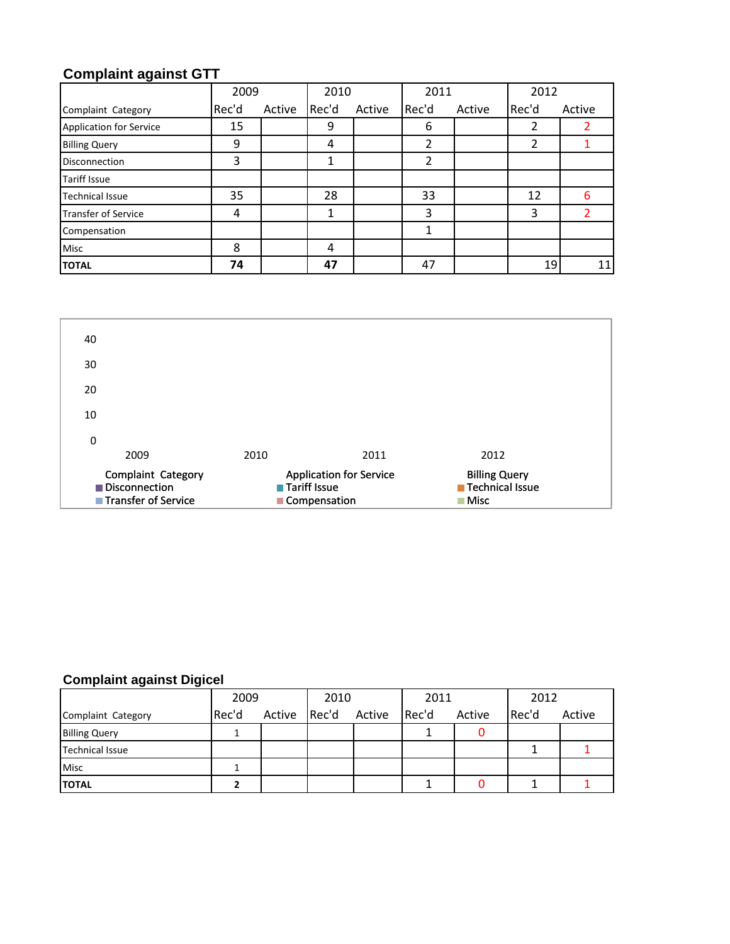# **Complaint against GTT**

|                            |       | 2009<br>2010 |       |        | 2011  |        | 2012  |        |
|----------------------------|-------|--------------|-------|--------|-------|--------|-------|--------|
| Complaint Category         | Rec'd | Active       | Rec'd | Active | Rec'd | Active | Rec'd | Active |
| Application for Service    | 15    |              | 9     |        | 6     |        | 2     |        |
| <b>Billing Query</b>       | 9     |              | 4     |        | 2     |        | 2     |        |
| <b>Disconnection</b>       | 3     |              |       |        | າ     |        |       |        |
| <b>Tariff Issue</b>        |       |              |       |        |       |        |       |        |
| <b>Technical Issue</b>     | 35    |              | 28    |        | 33    |        | 12    | 6      |
| <b>Transfer of Service</b> | 4     |              | 1     |        | 3     |        | 3     |        |
| Compensation               |       |              |       |        |       |        |       |        |
| <b>Misc</b>                | 8     |              | 4     |        |       |        |       |        |
| <b>TOTAL</b>               | 74    |              | 47    |        | 47    |        | 19    | 11     |

| 40                                                           |                       |                                                |                                                                |  |
|--------------------------------------------------------------|-----------------------|------------------------------------------------|----------------------------------------------------------------|--|
| 30                                                           |                       |                                                |                                                                |  |
| 20                                                           |                       |                                                |                                                                |  |
| 10                                                           |                       |                                                |                                                                |  |
| 0                                                            |                       |                                                |                                                                |  |
| 2009                                                         | 2010                  | 2011                                           | 2012                                                           |  |
| Complaint Category<br>Disconnection<br>■ Transfer of Service | <b>■ Tariff Issue</b> | <b>Application for Service</b><br>Compensation | <b>Billing Query</b><br>Technical Issue<br>$\blacksquare$ Misc |  |

## **Complaint against Digicel**

|                        | 2009  |        | 2010  |        | 2011  |        | 2012  |        |
|------------------------|-------|--------|-------|--------|-------|--------|-------|--------|
| Complaint Category     | Rec'd | Active | Rec'd | Active | Rec'd | Active | Rec'd | Active |
| <b>Billing Query</b>   |       |        |       |        |       |        |       |        |
| <b>Technical Issue</b> |       |        |       |        |       |        |       |        |
| <b>Misc</b>            |       |        |       |        |       |        |       |        |
| <b>TOTAL</b>           |       |        |       |        |       |        |       |        |